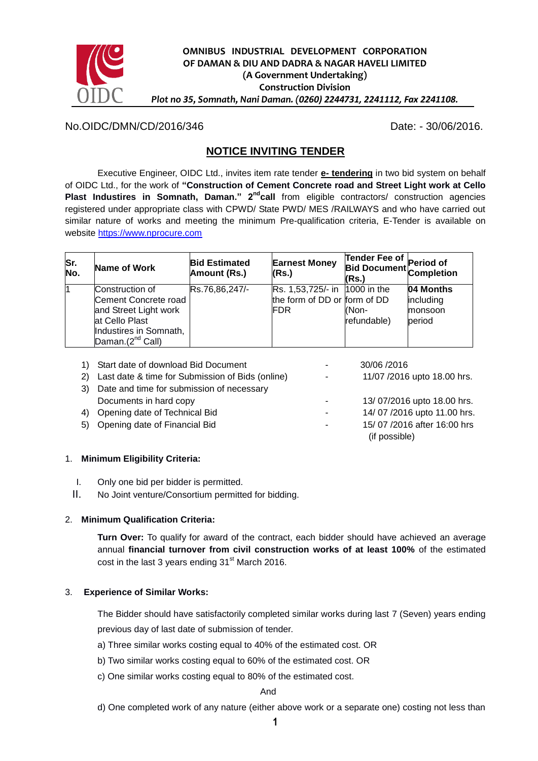

## No.OIDC/DMN/CD/2016/346 Date: - 30/06/2016.

# **NOTICE INVITING TENDER**

Executive Engineer, OIDC Ltd., invites item rate tender **e- tendering** in two bid system on behalf of OIDC Ltd., for the work of **"Construction of Cement Concrete road and Street Light work at Cello Plast Industires in Somnath, Daman." 2ndcall** from eligible contractors/ construction agencies registered under appropriate class with CPWD/ State PWD/ MES /RAILWAYS and who have carried out similar nature of works and meeting the minimum Pre-qualification criteria, E-Tender is available on website [https://www.nprocure.com](https://www.nprocure.com/)

| Sr.<br>No. | Name of Work                                                                                                                                 | <b>Bid Estimated</b><br>Amount (Rs.) | <b>Earnest Money</b><br>(Rs.)                                                | Tender Fee of<br>Bid Document Period of<br>Completion<br>(Rs.) |                                             |
|------------|----------------------------------------------------------------------------------------------------------------------------------------------|--------------------------------------|------------------------------------------------------------------------------|----------------------------------------------------------------|---------------------------------------------|
|            | Construction of<br>Cement Concrete road<br>and Street Light work<br>at Cello Plast<br>Industires in Somnath,<br>Daman.(2 <sup>nd</sup> Call) | Rs.76,86,247/-                       | Rs. 1,53,725/- in  1000 in the<br>the form of DD or form of DD<br><b>FDR</b> | KNon-<br>refundable)                                           | 04 Months<br>including<br>monsoon<br>period |

|    | Start date of download Bid Document              |   | 30/06/2016                  |
|----|--------------------------------------------------|---|-----------------------------|
| 2) | Last date & time for Submission of Bids (online) |   | 11/07 /2016 upto 18.00 hrs. |
| 3) | Date and time for submission of necessary        |   |                             |
|    | Documents in hard copy                           |   | 13/07/2016 upto 18.00 hrs.  |
| 4) | Opening date of Technical Bid                    | ۰ | 14/07/2016 upto 11.00 hrs.  |
|    | 5) Opening date of Financial Bid                 | ۰ | 15/07/2016 after 16:00 hrs  |
|    |                                                  |   | (if possible)               |
|    |                                                  |   |                             |

### 1. **Minimum Eligibility Criteria:**

- I. Only one bid per bidder is permitted.
- II. No Joint venture/Consortium permitted for bidding.

### 2. **Minimum Qualification Criteria:**

**Turn Over:** To qualify for award of the contract, each bidder should have achieved an average annual **financial turnover from civil construction works of at least 100%** of the estimated cost in the last 3 years ending  $31<sup>st</sup>$  March 2016.

### 3. **Experience of Similar Works:**

The Bidder should have satisfactorily completed similar works during last 7 (Seven) years ending previous day of last date of submission of tender.

- a) Three similar works costing equal to 40% of the estimated cost. OR
- b) Two similar works costing equal to 60% of the estimated cost. OR
- c) One similar works costing equal to 80% of the estimated cost.

#### And

d) One completed work of any nature (either above work or a separate one) costing not less than